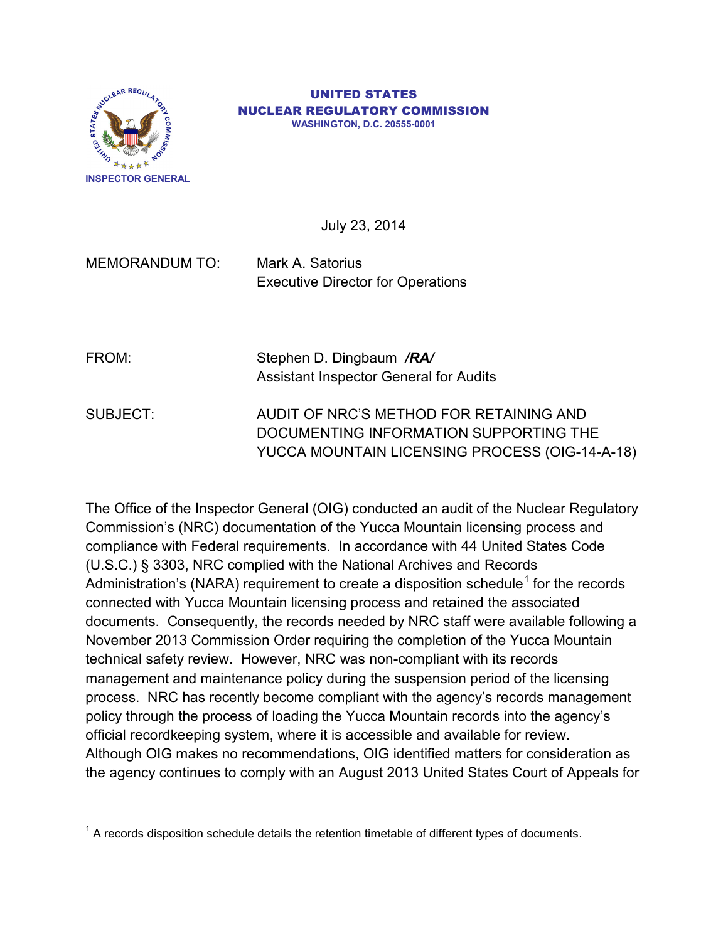

#### UNITED STATES NUCLEAR REGULATORY COMMISSION **WASHINGTON, D.C. 20555-0001**

July 23, 2014

MEMORANDUM TO: Mark A. Satorius Executive Director for Operations

| FROM: | Stephen D. Dingbaum /RA/                      |
|-------|-----------------------------------------------|
|       | <b>Assistant Inspector General for Audits</b> |

SUBJECT: AUDIT OF NRC'S METHOD FOR RETAINING AND DOCUMENTING INFORMATION SUPPORTING THE YUCCA MOUNTAIN LICENSING PROCESS (OIG-14-A-18)

The Office of the Inspector General (OIG) conducted an audit of the Nuclear Regulatory Commission's (NRC) documentation of the Yucca Mountain licensing process and compliance with Federal requirements. In accordance with 44 United States Code (U.S.C.) § 3303, NRC complied with the National Archives and Records Administration's (NARA) requirement to create a disposition schedule<sup>[1](#page-0-0)</sup> for the records connected with Yucca Mountain licensing process and retained the associated documents. Consequently, the records needed by NRC staff were available following a November 2013 Commission Order requiring the completion of the Yucca Mountain technical safety review. However, NRC was non-compliant with its records management and maintenance policy during the suspension period of the licensing process. NRC has recently become compliant with the agency's records management policy through the process of loading the Yucca Mountain records into the agency's official recordkeeping system, where it is accessible and available for review. Although OIG makes no recommendations, OIG identified matters for consideration as the agency continues to comply with an August 2013 United States Court of Appeals for

<span id="page-0-0"></span> $1$  A records disposition schedule details the retention timetable of different types of documents.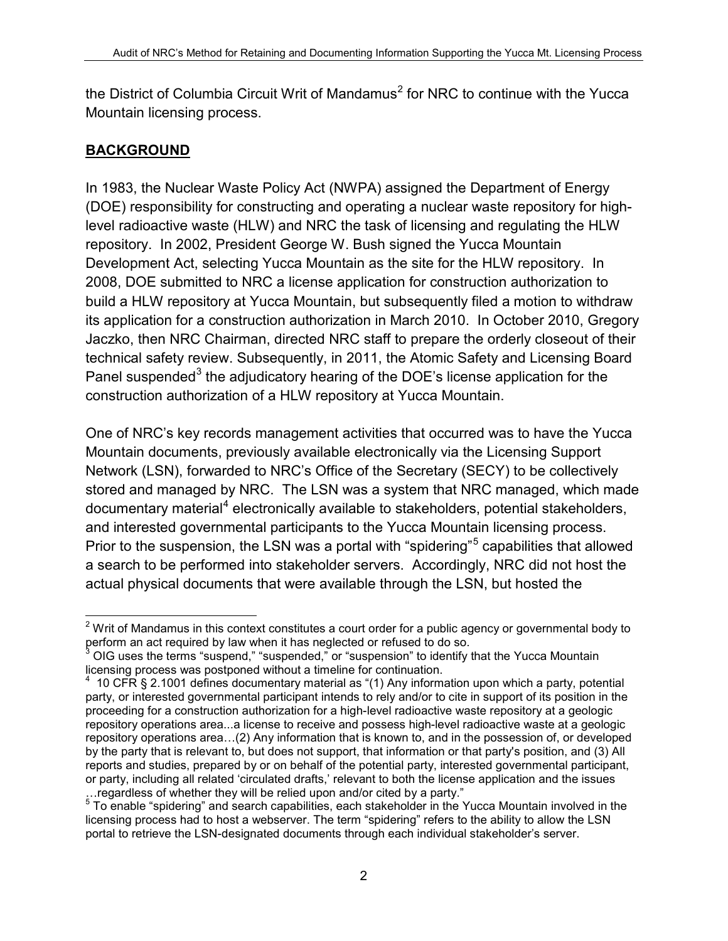the District of Columbia Circuit Writ of Mandamus<sup>[2](#page-1-0)</sup> for NRC to continue with the Yucca Mountain licensing process.

### **BACKGROUND**

In 1983, the Nuclear Waste Policy Act (NWPA) assigned the Department of Energy (DOE) responsibility for constructing and operating a nuclear waste repository for highlevel radioactive waste (HLW) and NRC the task of licensing and regulating the HLW repository. In 2002, President George W. Bush signed the Yucca Mountain Development Act, selecting Yucca Mountain as the site for the HLW repository. In 2008, DOE submitted to NRC a license application for construction authorization to build a HLW repository at Yucca Mountain, but subsequently filed a motion to withdraw its application for a construction authorization in March 2010. In October 2010, Gregory Jaczko, then NRC Chairman, directed NRC staff to prepare the orderly closeout of their technical safety review. Subsequently, in 2011, the Atomic Safety and Licensing Board Panel suspended<sup>[3](#page-1-1)</sup> the adjudicatory hearing of the DOE's license application for the construction authorization of a HLW repository at Yucca Mountain.

One of NRC's key records management activities that occurred was to have the Yucca Mountain documents, previously available electronically via the Licensing Support Network (LSN), forwarded to NRC's Office of the Secretary (SECY) to be collectively stored and managed by NRC. The LSN was a system that NRC managed, which made documentary material<sup>[4](#page-1-2)</sup> electronically available to stakeholders, potential stakeholders, and interested governmental participants to the Yucca Mountain licensing process. Prior to the suspension, the LSN was a portal with "spidering"[5](#page-1-3) capabilities that allowed a search to be performed into stakeholder servers. Accordingly, NRC did not host the actual physical documents that were available through the LSN, but hosted the

<span id="page-1-0"></span> $2$  Writ of Mandamus in this context constitutes a court order for a public agency or governmental body to perform an act required by law when it has neglected or refused to do so.

<span id="page-1-1"></span> $3$  OIG uses the terms "suspend," "suspended," or "suspension" to identify that the Yucca Mountain licensing process was postponed without a timeline for continuation.

<span id="page-1-2"></span><sup>&</sup>lt;sup>4</sup> 10 CFR § 2.1001 defines documentary material as "(1) Any information upon which a party, potential party, or interested governmental participant intends to rely and/or to cite in support of its position in the proceeding for a construction authorization for a high-level radioactive waste repository at a geologic repository operations area...a license to receive and possess high-level radioactive waste at a geologic repository operations area…(2) Any information that is known to, and in the possession of, or developed by the party that is relevant to, but does not support, that information or that party's position, and (3) All reports and studies, prepared by or on behalf of the potential party, interested governmental participant, or party, including all related 'circulated drafts,' relevant to both the license application and the issues ... regardless of whether they will be relied upon and/or cited by a party."

<span id="page-1-3"></span> $5$  To enable "spidering" and search capabilities, each stakeholder in the Yucca Mountain involved in the licensing process had to host a webserver. The term "spidering" refers to the ability to allow the LSN portal to retrieve the LSN-designated documents through each individual stakeholder's server.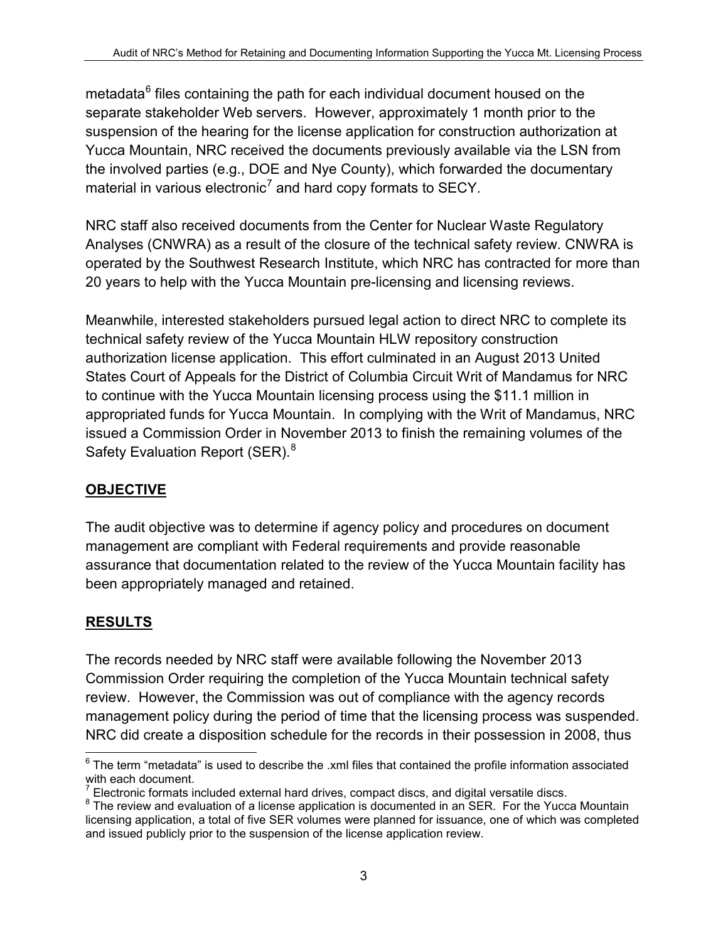metadata $6$  files containing the path for each individual document housed on the separate stakeholder Web servers. However, approximately 1 month prior to the suspension of the hearing for the license application for construction authorization at Yucca Mountain, NRC received the documents previously available via the LSN from the involved parties (e.g., DOE and Nye County), which forwarded the documentary material in various electronic<sup>[7](#page-2-1)</sup> and hard copy formats to SECY.

NRC staff also received documents from the Center for Nuclear Waste Regulatory Analyses (CNWRA) as a result of the closure of the technical safety review. CNWRA is operated by the Southwest Research Institute, which NRC has contracted for more than 20 years to help with the Yucca Mountain pre-licensing and licensing reviews.

Meanwhile, interested stakeholders pursued legal action to direct NRC to complete its technical safety review of the Yucca Mountain HLW repository construction authorization license application. This effort culminated in an August 2013 United States Court of Appeals for the District of Columbia Circuit Writ of Mandamus for NRC to continue with the Yucca Mountain licensing process using the \$11.1 million in appropriated funds for Yucca Mountain. In complying with the Writ of Mandamus, NRC issued a Commission Order in November 2013 to finish the remaining volumes of the Safety Evaluation Report (SER).<sup>[8](#page-2-2)</sup>

# **OBJECTIVE**

The audit objective was to determine if agency policy and procedures on document management are compliant with Federal requirements and provide reasonable assurance that documentation related to the review of the Yucca Mountain facility has been appropriately managed and retained.

## **RESULTS**

The records needed by NRC staff were available following the November 2013 Commission Order requiring the completion of the Yucca Mountain technical safety review. However, the Commission was out of compliance with the agency records management policy during the period of time that the licensing process was suspended. NRC did create a disposition schedule for the records in their possession in 2008, thus

<span id="page-2-0"></span> $6$  The term "metadata" is used to describe the .xml files that contained the profile information associated with each document.

<span id="page-2-2"></span><span id="page-2-1"></span> $\frac{7}{8}$  Electronic formats included external hard drives, compact discs, and digital versatile discs. 8 The review and evaluation of a license application is documented in an SER. For the Yucca Mountain licensing application, a total of five SER volumes were planned for issuance, one of which was completed and issued publicly prior to the suspension of the license application review.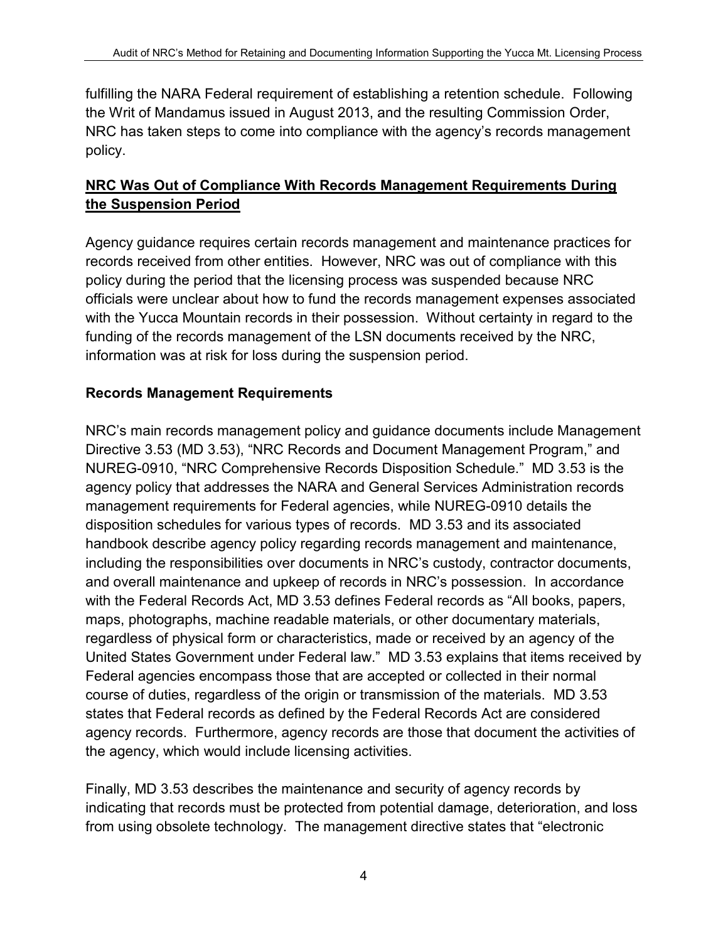fulfilling the NARA Federal requirement of establishing a retention schedule. Following the Writ of Mandamus issued in August 2013, and the resulting Commission Order, NRC has taken steps to come into compliance with the agency's records management policy.

## **NRC Was Out of Compliance With Records Management Requirements During the Suspension Period**

Agency guidance requires certain records management and maintenance practices for records received from other entities. However, NRC was out of compliance with this policy during the period that the licensing process was suspended because NRC officials were unclear about how to fund the records management expenses associated with the Yucca Mountain records in their possession. Without certainty in regard to the funding of the records management of the LSN documents received by the NRC, information was at risk for loss during the suspension period.

#### **Records Management Requirements**

NRC's main records management policy and guidance documents include Management Directive 3.53 (MD 3.53), "NRC Records and Document Management Program," and NUREG-0910, "NRC Comprehensive Records Disposition Schedule." MD 3.53 is the agency policy that addresses the NARA and General Services Administration records management requirements for Federal agencies, while NUREG-0910 details the disposition schedules for various types of records. MD 3.53 and its associated handbook describe agency policy regarding records management and maintenance, including the responsibilities over documents in NRC's custody, contractor documents, and overall maintenance and upkeep of records in NRC's possession. In accordance with the Federal Records Act, MD 3.53 defines Federal records as "All books, papers, maps, photographs, machine readable materials, or other documentary materials, regardless of physical form or characteristics, made or received by an agency of the United States Government under Federal law." MD 3.53 explains that items received by Federal agencies encompass those that are accepted or collected in their normal course of duties, regardless of the origin or transmission of the materials. MD 3.53 states that Federal records as defined by the Federal Records Act are considered agency records. Furthermore, agency records are those that document the activities of the agency, which would include licensing activities.

Finally, MD 3.53 describes the maintenance and security of agency records by indicating that records must be protected from potential damage, deterioration, and loss from using obsolete technology. The management directive states that "electronic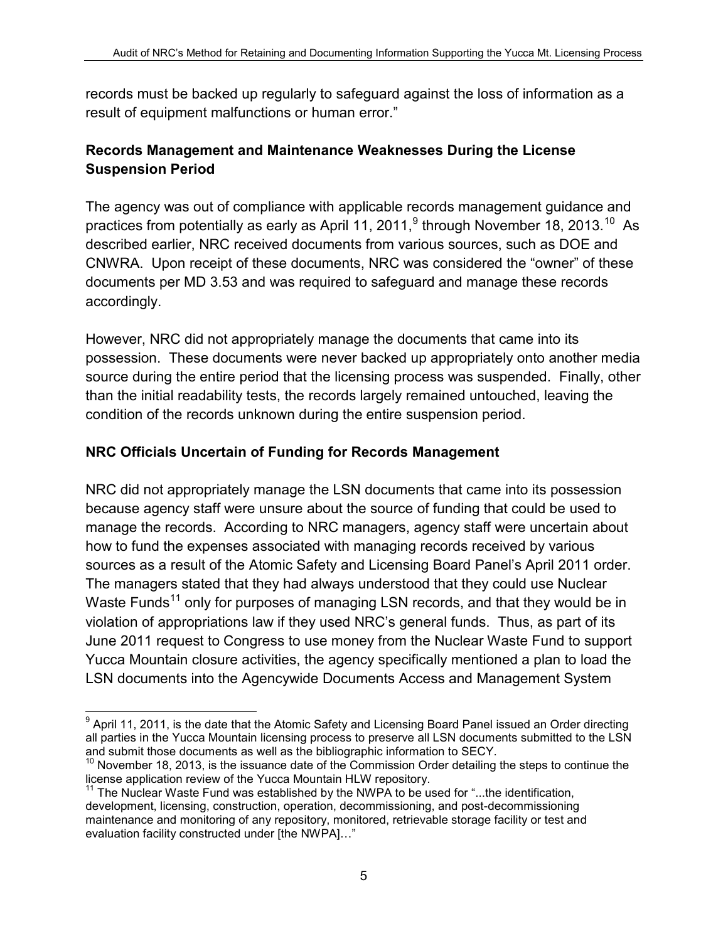records must be backed up regularly to safeguard against the loss of information as a result of equipment malfunctions or human error."

## **Records Management and Maintenance Weaknesses During the License Suspension Period**

The agency was out of compliance with applicable records management guidance and practices from potentially as early as April 11, 2011, $^9$  $^9$  through November 18, 2013.<sup>[10](#page-4-1)</sup> As described earlier, NRC received documents from various sources, such as DOE and CNWRA. Upon receipt of these documents, NRC was considered the "owner" of these documents per MD 3.53 and was required to safeguard and manage these records accordingly.

However, NRC did not appropriately manage the documents that came into its possession. These documents were never backed up appropriately onto another media source during the entire period that the licensing process was suspended. Finally, other than the initial readability tests, the records largely remained untouched, leaving the condition of the records unknown during the entire suspension period.

#### **NRC Officials Uncertain of Funding for Records Management**

NRC did not appropriately manage the LSN documents that came into its possession because agency staff were unsure about the source of funding that could be used to manage the records. According to NRC managers, agency staff were uncertain about how to fund the expenses associated with managing records received by various sources as a result of the Atomic Safety and Licensing Board Panel's April 2011 order. The managers stated that they had always understood that they could use Nuclear Waste Funds<sup>[11](#page-4-2)</sup> only for purposes of managing LSN records, and that they would be in violation of appropriations law if they used NRC's general funds. Thus, as part of its June 2011 request to Congress to use money from the Nuclear Waste Fund to support Yucca Mountain closure activities, the agency specifically mentioned a plan to load the LSN documents into the Agencywide Documents Access and Management System

<span id="page-4-0"></span> $9$  April 11, 2011, is the date that the Atomic Safety and Licensing Board Panel issued an Order directing all parties in the Yucca Mountain licensing process to preserve all LSN documents submitted to the LSN and submit those documents as well as the bibliographic information to SECY.

<span id="page-4-1"></span> $10$  November 18, 2013, is the issuance date of the Commission Order detailing the steps to continue the license application review of the Yucca Mountain HLW repository.

<span id="page-4-2"></span><sup>&</sup>lt;sup>1</sup> The Nuclear Waste Fund was established by the NWPA to be used for "...the identification, development, licensing, construction, operation, decommissioning, and post-decommissioning maintenance and monitoring of any repository, monitored, retrievable storage facility or test and evaluation facility constructed under [the NWPA]…"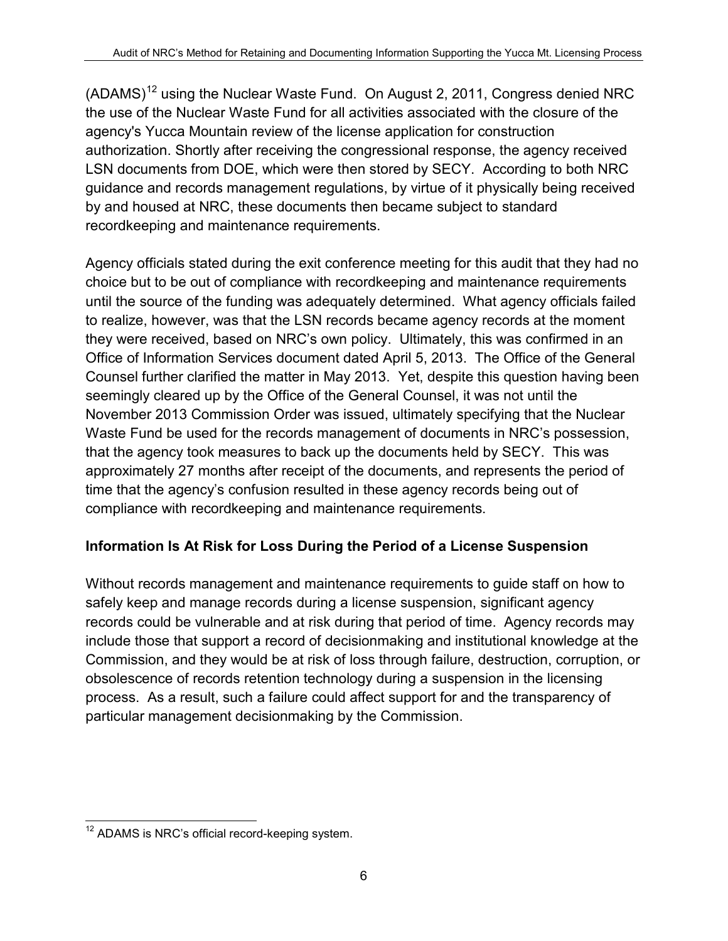$(ADAMS)^{12}$  $(ADAMS)^{12}$  $(ADAMS)^{12}$  using the Nuclear Waste Fund. On August 2, 2011, Congress denied NRC the use of the Nuclear Waste Fund for all activities associated with the closure of the agency's Yucca Mountain review of the license application for construction authorization. Shortly after receiving the congressional response, the agency received LSN documents from DOE, which were then stored by SECY. According to both NRC guidance and records management regulations, by virtue of it physically being received by and housed at NRC, these documents then became subject to standard recordkeeping and maintenance requirements.

Agency officials stated during the exit conference meeting for this audit that they had no choice but to be out of compliance with recordkeeping and maintenance requirements until the source of the funding was adequately determined. What agency officials failed to realize, however, was that the LSN records became agency records at the moment they were received, based on NRC's own policy. Ultimately, this was confirmed in an Office of Information Services document dated April 5, 2013. The Office of the General Counsel further clarified the matter in May 2013. Yet, despite this question having been seemingly cleared up by the Office of the General Counsel, it was not until the November 2013 Commission Order was issued, ultimately specifying that the Nuclear Waste Fund be used for the records management of documents in NRC's possession, that the agency took measures to back up the documents held by SECY. This was approximately 27 months after receipt of the documents, and represents the period of time that the agency's confusion resulted in these agency records being out of compliance with recordkeeping and maintenance requirements.

## **Information Is At Risk for Loss During the Period of a License Suspension**

Without records management and maintenance requirements to guide staff on how to safely keep and manage records during a license suspension, significant agency records could be vulnerable and at risk during that period of time. Agency records may include those that support a record of decisionmaking and institutional knowledge at the Commission, and they would be at risk of loss through failure, destruction, corruption, or obsolescence of records retention technology during a suspension in the licensing process. As a result, such a failure could affect support for and the transparency of particular management decisionmaking by the Commission.

<span id="page-5-0"></span><sup>&</sup>lt;sup>12</sup> ADAMS is NRC's official record-keeping system.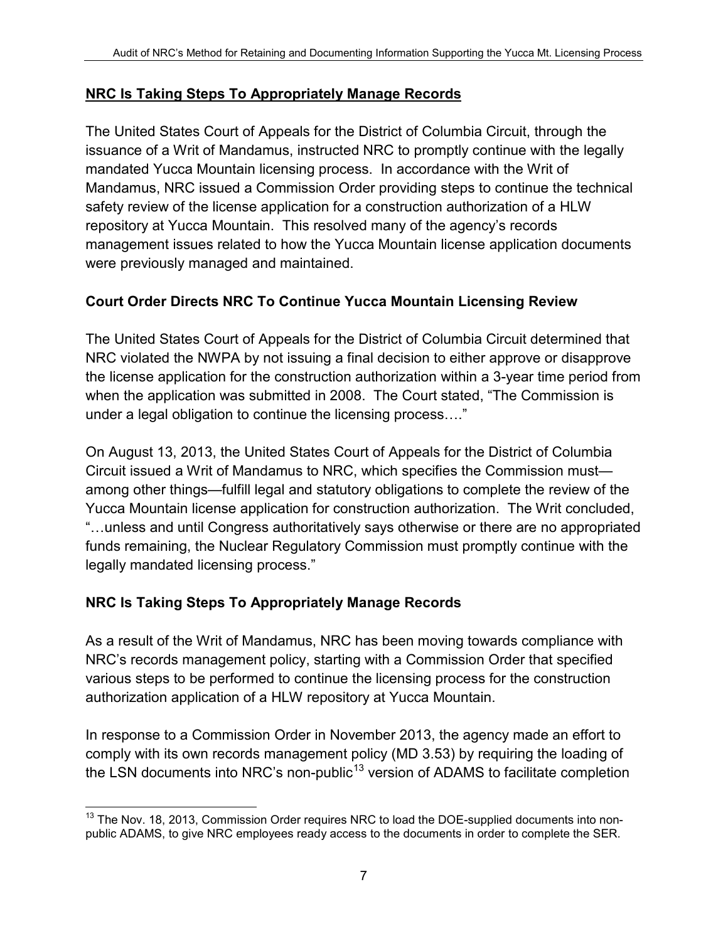#### **NRC Is Taking Steps To Appropriately Manage Records**

The United States Court of Appeals for the District of Columbia Circuit, through the issuance of a Writ of Mandamus, instructed NRC to promptly continue with the legally mandated Yucca Mountain licensing process. In accordance with the Writ of Mandamus, NRC issued a Commission Order providing steps to continue the technical safety review of the license application for a construction authorization of a HLW repository at Yucca Mountain. This resolved many of the agency's records management issues related to how the Yucca Mountain license application documents were previously managed and maintained.

## **Court Order Directs NRC To Continue Yucca Mountain Licensing Review**

The United States Court of Appeals for the District of Columbia Circuit determined that NRC violated the NWPA by not issuing a final decision to either approve or disapprove the license application for the construction authorization within a 3-year time period from when the application was submitted in 2008. The Court stated, "The Commission is under a legal obligation to continue the licensing process…."

On August 13, 2013, the United States Court of Appeals for the District of Columbia Circuit issued a Writ of Mandamus to NRC, which specifies the Commission must among other things—fulfill legal and statutory obligations to complete the review of the Yucca Mountain license application for construction authorization. The Writ concluded, "…unless and until Congress authoritatively says otherwise or there are no appropriated funds remaining, the Nuclear Regulatory Commission must promptly continue with the legally mandated licensing process."

## **NRC Is Taking Steps To Appropriately Manage Records**

As a result of the Writ of Mandamus, NRC has been moving towards compliance with NRC's records management policy, starting with a Commission Order that specified various steps to be performed to continue the licensing process for the construction authorization application of a HLW repository at Yucca Mountain.

In response to a Commission Order in November 2013, the agency made an effort to comply with its own records management policy (MD 3.53) by requiring the loading of the LSN documents into NRC's non-public<sup>[13](#page-6-0)</sup> version of ADAMS to facilitate completion

<span id="page-6-0"></span><sup>&</sup>lt;sup>13</sup> The Nov. 18, 2013, Commission Order requires NRC to load the DOE-supplied documents into nonpublic ADAMS, to give NRC employees ready access to the documents in order to complete the SER.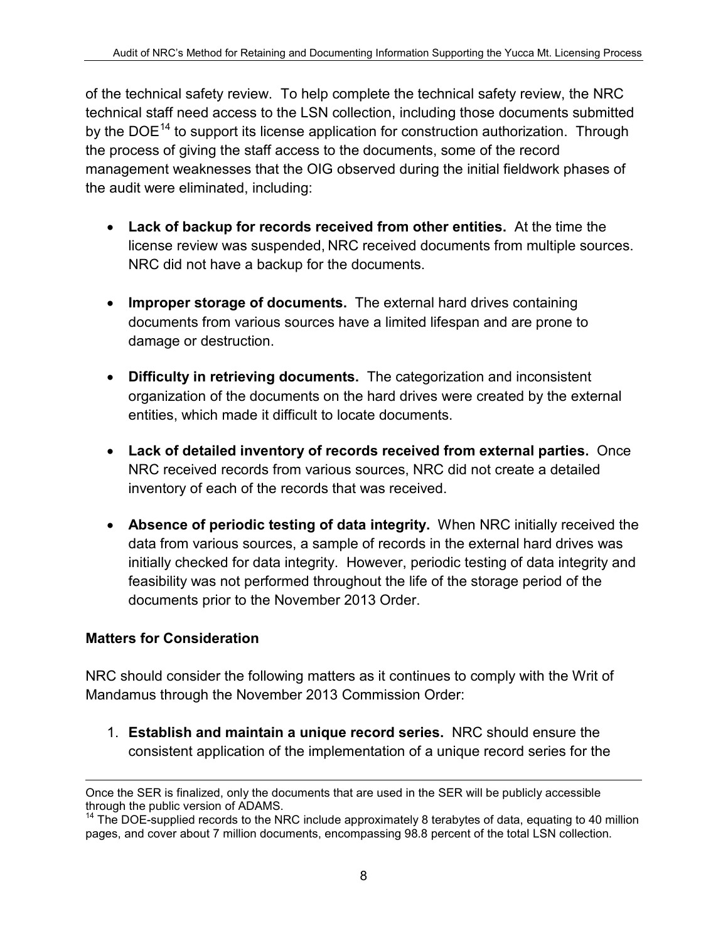of the technical safety review. To help complete the technical safety review, the NRC technical staff need access to the LSN collection, including those documents submitted by the DOE<sup>[14](#page-7-0)</sup> to support its license application for construction authorization. Through the process of giving the staff access to the documents, some of the record management weaknesses that the OIG observed during the initial fieldwork phases of the audit were eliminated, including:

- **Lack of backup for records received from other entities.** At the time the license review was suspended, NRC received documents from multiple sources. NRC did not have a backup for the documents.
- **Improper storage of documents.** The external hard drives containing documents from various sources have a limited lifespan and are prone to damage or destruction.
- **Difficulty in retrieving documents.** The categorization and inconsistent organization of the documents on the hard drives were created by the external entities, which made it difficult to locate documents.
- **Lack of detailed inventory of records received from external parties.** Once NRC received records from various sources, NRC did not create a detailed inventory of each of the records that was received.
- **Absence of periodic testing of data integrity.** When NRC initially received the data from various sources, a sample of records in the external hard drives was initially checked for data integrity. However, periodic testing of data integrity and feasibility was not performed throughout the life of the storage period of the documents prior to the November 2013 Order.

## **Matters for Consideration**

NRC should consider the following matters as it continues to comply with the Writ of Mandamus through the November 2013 Commission Order:

1. **Establish and maintain a unique record series.** NRC should ensure the consistent application of the implementation of a unique record series for the

 $\overline{a}$ Once the SER is finalized, only the documents that are used in the SER will be publicly accessible through the public version of ADAMS.

<span id="page-7-0"></span><sup>&</sup>lt;sup>14</sup> The DOE-supplied records to the NRC include approximately 8 terabytes of data, equating to 40 million pages, and cover about 7 million documents, encompassing 98.8 percent of the total LSN collection.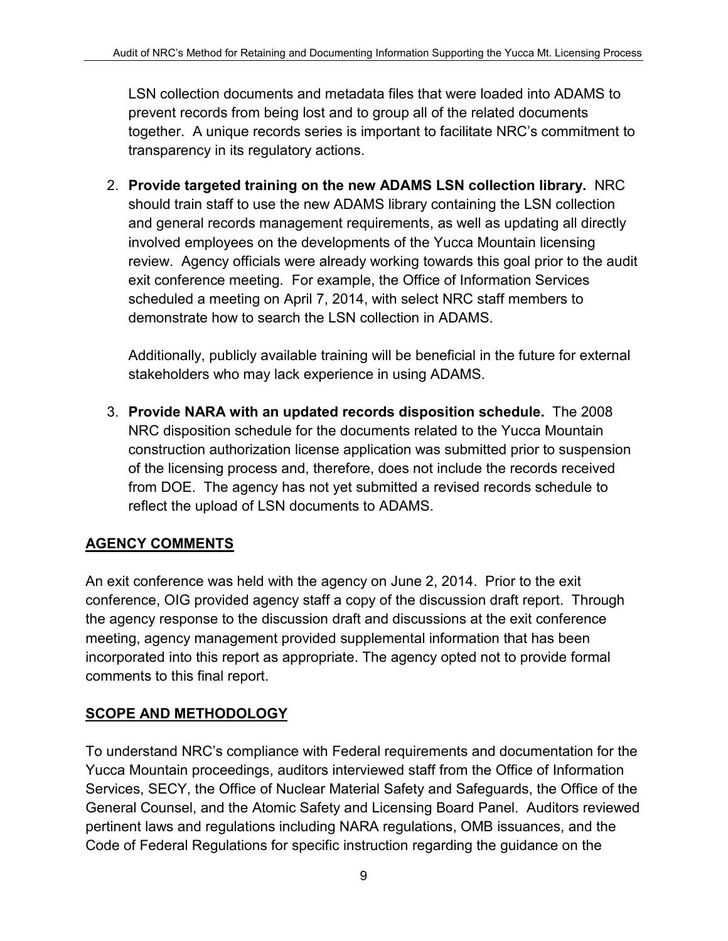LSN collection documents and metadata files that were loaded into ADAMS to prevent records from being lost and to group all of the related documents together. A unique records series is important to facilitate NRC's commitment to transparency in its regulatory actions.

2. **Provide targeted training on the new ADAMS LSN collection library.** NRC should train staff to use the new ADAMS library containing the LSN collection and general records management requirements, as well as updating all directly involved employees on the developments of the Yucca Mountain licensing review. Agency officials were already working towards this goal prior to the audit exit conference meeting. For example, the Office of Information Services scheduled a meeting on April 7, 2014, with select NRC staff members to demonstrate how to search the LSN collection in ADAMS.

Additionally, publicly available training will be beneficial in the future for external stakeholders who may lack experience in using ADAMS.

3. **Provide NARA with an updated records disposition schedule.** The 2008 NRC disposition schedule for the documents related to the Yucca Mountain construction authorization license application was submitted prior to suspension of the licensing process and, therefore, does not include the records received from DOE. The agency has not yet submitted a revised records schedule to reflect the upload of LSN documents to ADAMS.

# **AGENCY COMMENTS**

An exit conference was held with the agency on June 2, 2014. Prior to the exit conference, OIG provided agency staff a copy of the discussion draft report. Through the agency response to the discussion draft and discussions at the exit conference meeting, agency management provided supplemental information that has been incorporated into this report as appropriate. The agency opted not to provide formal comments to this final report.

## **SCOPE AND METHODOLOGY**

To understand NRC's compliance with Federal requirements and documentation for the Yucca Mountain proceedings, auditors interviewed staff from the Office of Information Services, SECY, the Office of Nuclear Material Safety and Safeguards, the Office of the General Counsel, and the Atomic Safety and Licensing Board Panel. Auditors reviewed pertinent laws and regulations including NARA regulations, OMB issuances, and the Code of Federal Regulations for specific instruction regarding the guidance on the